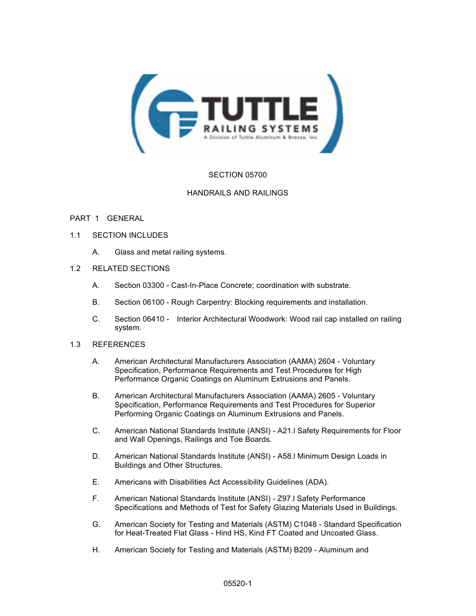

# SECTION 05700

# HANDRAILS AND RAILINGS

## PART 1 GENERAL

- 1.1 SECTION INCLUDES
	- A. Glass and metal railing systems.
- 1.2 RELATED SECTIONS
	- A. Section 03300 Cast-In-Place Concrete; coordination with substrate.
	- B. Section 06100 Rough Carpentry: Blocking requirements and installation.
	- C. Section 06410 Interior Architectural Woodwork: Wood rail cap installed on railing system.

### 1.3 REFERENCES

- A. American Architectural Manufacturers Association (AAMA) 2604 Voluntary Specification, Performance Requirements and Test Procedures for High Performance Organic Coatings on Aluminum Extrusions and Panels.
- B. American Architectural Manufacturers Association (AAMA) 2605 Voluntary Specification, Performance Requirements and Test Procedures for Superior Performing Organic Coatings on Aluminum Extrusions and Panels.
- C. American National Standards Institute (ANSI) A21.l Safety Requirements for Floor and Wall Openings, Railings and Toe Boards.
- D. American National Standards Institute (ANSI) A58.l Minimum Design Loads in Buildings and Other Structures.
- E. Americans with Disabilities Act Accessibility Guidelines (ADA).
- F. American National Standards Institute (ANSI) Z97.l Safety Performance Specifications and Methods of Test for Safety Glazing Materials Used in Buildings.
- G. American Society for Testing and Materials (ASTM) C1048 Standard Specification for Heat-Treated Flat Glass - Hind HS, Kind FT Coated and Uncoated Glass.
- H. American Society for Testing and Materials (ASTM) B209 Aluminum and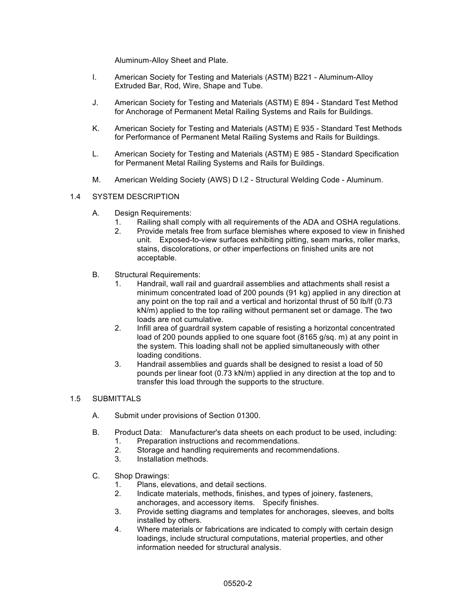Aluminum-Alloy Sheet and Plate.

- I. American Society for Testing and Materials (ASTM) B221 Aluminum-Alloy Extruded Bar, Rod, Wire, Shape and Tube.
- J. American Society for Testing and Materials (ASTM) E 894 Standard Test Method for Anchorage of Permanent Metal Railing Systems and Rails for Buildings.
- K. American Society for Testing and Materials (ASTM) E 935 Standard Test Methods for Performance of Permanent Metal Railing Systems and Rails for Buildings.
- L. American Society for Testing and Materials (ASTM) E 985 Standard Specification for Permanent Metal Railing Systems and Rails for Buildings.
- M. American Welding Society (AWS) D l.2 Structural Welding Code Aluminum.

## 1.4 SYSTEM DESCRIPTION

- A. Design Requirements:
	- 1. Railing shall comply with all requirements of the ADA and OSHA regulations.
	- 2. Provide metals free from surface blemishes where exposed to view in finished unit. Exposed-to-view surfaces exhibiting pitting, seam marks, roller marks, stains, discolorations, or other imperfections on finished units are not acceptable.
- B. Structural Requirements:
	- 1. Handrail, wall rail and guardrail assemblies and attachments shall resist a minimum concentrated load of 200 pounds (91 kg) applied in any direction at any point on the top rail and a vertical and horizontal thrust of 50 lb/lf (0.73 kN/m) applied to the top railing without permanent set or damage. The two loads are not cumulative.
	- 2. Infill area of guardrail system capable of resisting a horizontal concentrated load of 200 pounds applied to one square foot (8165 g/sq. m) at any point in the system. This loading shall not be applied simultaneously with other loading conditions.
	- 3. Handrail assemblies and guards shall be designed to resist a load of 50 pounds per linear foot (0.73 kN/m) applied in any direction at the top and to transfer this load through the supports to the structure.

## 1.5 SUBMITTALS

- A. Submit under provisions of Section 01300.
- B. Product Data: Manufacturer's data sheets on each product to be used, including:
	- 1. Preparation instructions and recommendations.
	- 2. Storage and handling requirements and recommendations.
	- 3. Installation methods.
- C. Shop Drawings:
	- 1. Plans, elevations, and detail sections.
	- 2. Indicate materials, methods, finishes, and types of joinery, fasteners, anchorages, and accessory items. Specify finishes.
	- 3. Provide setting diagrams and templates for anchorages, sleeves, and bolts installed by others.
	- 4. Where materials or fabrications are indicated to comply with certain design loadings, include structural computations, material properties, and other information needed for structural analysis.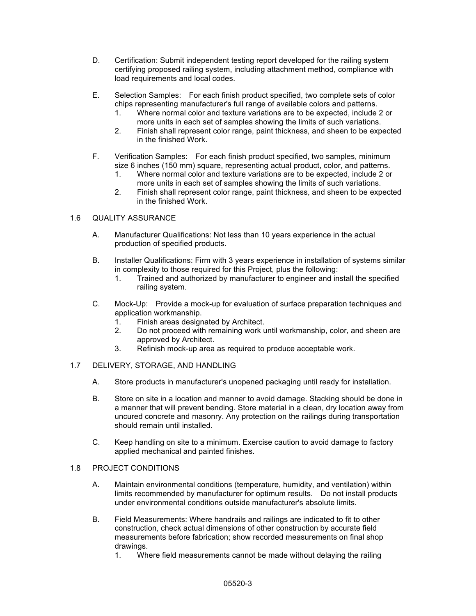- D. Certification: Submit independent testing report developed for the railing system certifying proposed railing system, including attachment method, compliance with load requirements and local codes.
- E. Selection Samples: For each finish product specified, two complete sets of color chips representing manufacturer's full range of available colors and patterns.
	- 1. Where normal color and texture variations are to be expected, include 2 or more units in each set of samples showing the limits of such variations.
	- 2. Finish shall represent color range, paint thickness, and sheen to be expected in the finished Work.
- F. Verification Samples: For each finish product specified, two samples, minimum size 6 inches (150 mm) square, representing actual product, color, and patterns.
	- 1. Where normal color and texture variations are to be expected, include 2 or more units in each set of samples showing the limits of such variations.
	- 2. Finish shall represent color range, paint thickness, and sheen to be expected in the finished Work.

# 1.6 QUALITY ASSURANCE

- A. Manufacturer Qualifications: Not less than 10 years experience in the actual production of specified products.
- B. Installer Qualifications: Firm with 3 years experience in installation of systems similar in complexity to those required for this Project, plus the following:
	- 1. Trained and authorized by manufacturer to engineer and install the specified railing system.
- C. Mock-Up: Provide a mock-up for evaluation of surface preparation techniques and application workmanship.
	- 1. Finish areas designated by Architect.
	- 2. Do not proceed with remaining work until workmanship, color, and sheen are approved by Architect.
	- 3. Refinish mock-up area as required to produce acceptable work.
- 1.7 DELIVERY, STORAGE, AND HANDLING
	- A. Store products in manufacturer's unopened packaging until ready for installation.
	- B. Store on site in a location and manner to avoid damage. Stacking should be done in a manner that will prevent bending. Store material in a clean, dry location away from uncured concrete and masonry. Any protection on the railings during transportation should remain until installed.
	- C. Keep handling on site to a minimum. Exercise caution to avoid damage to factory applied mechanical and painted finishes.

### 1.8 PROJECT CONDITIONS

- A. Maintain environmental conditions (temperature, humidity, and ventilation) within limits recommended by manufacturer for optimum results. Do not install products under environmental conditions outside manufacturer's absolute limits.
- B. Field Measurements: Where handrails and railings are indicated to fit to other construction, check actual dimensions of other construction by accurate field measurements before fabrication; show recorded measurements on final shop drawings.
	- 1. Where field measurements cannot be made without delaying the railing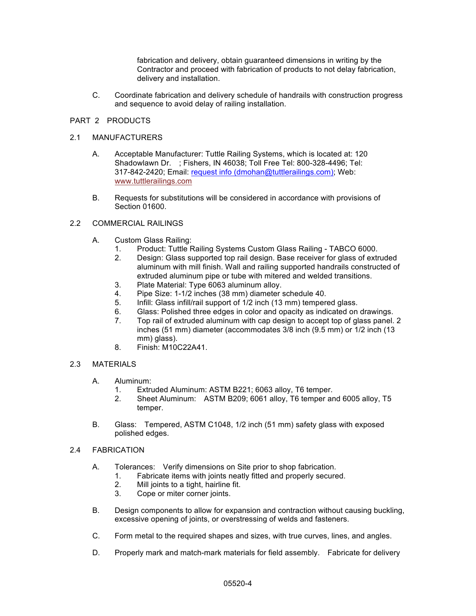fabrication and delivery, obtain guaranteed dimensions in writing by the Contractor and proceed with fabrication of products to not delay fabrication, delivery and installation.

C. Coordinate fabrication and delivery schedule of handrails with construction progress and sequence to avoid delay of railing installation.

## PART 2 PRODUCTS

## 2.1 MANUFACTURERS

- A. Acceptable Manufacturer: Tuttle Railing Systems, which is located at: 120 Shadowlawn Dr. ; Fishers, IN 46038; Toll Free Tel: 800-328-4496; Tel: 317-842-2420; Email: request info (dmohan@tuttlerailings.com); Web: www.tuttlerailings.com
- B. Requests for substitutions will be considered in accordance with provisions of Section 01600.

## 2.2 COMMERCIAL RAILINGS

- A. Custom Glass Railing:
	- 1. Product: Tuttle Railing Systems Custom Glass Railing TABCO 6000.
	- 2. Design: Glass supported top rail design. Base receiver for glass of extruded aluminum with mill finish. Wall and railing supported handrails constructed of extruded aluminum pipe or tube with mitered and welded transitions.
	- 3. Plate Material: Type 6063 aluminum alloy.
	- 4. Pipe Size: 1-1/2 inches (38 mm) diameter schedule 40.
	- 5. Infill: Glass infill/rail support of 1/2 inch (13 mm) tempered glass.
	- 6. Glass: Polished three edges in color and opacity as indicated on drawings.
	- 7. Top rail of extruded aluminum with cap design to accept top of glass panel. 2 inches (51 mm) diameter (accommodates 3/8 inch (9.5 mm) or 1/2 inch (13 mm) glass).
	- 8. Finish: M10C22A41.

# 2.3 MATERIALS

- A. Aluminum:
	- 1. Extruded Aluminum: ASTM B221; 6063 alloy, T6 temper.
	- 2. Sheet Aluminum: ASTM B209; 6061 alloy, T6 temper and 6005 alloy, T5 temper.
- B. Glass: Tempered, ASTM C1048, 1/2 inch (51 mm) safety glass with exposed polished edges.
- 2.4 FABRICATION
	- A. Tolerances: Verify dimensions on Site prior to shop fabrication.
		- 1. Fabricate items with joints neatly fitted and properly secured.
		- 2. Mill joints to a tight, hairline fit.
		- 3. Cope or miter corner joints.
	- B. Design components to allow for expansion and contraction without causing buckling, excessive opening of joints, or overstressing of welds and fasteners.
	- C. Form metal to the required shapes and sizes, with true curves, lines, and angles.
	- D. Properly mark and match-mark materials for field assembly. Fabricate for delivery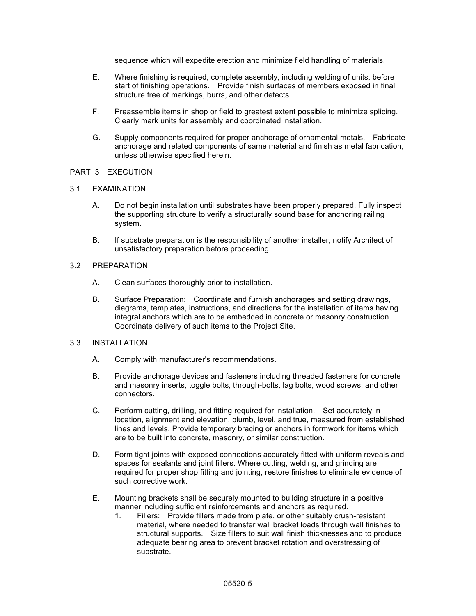sequence which will expedite erection and minimize field handling of materials.

- E. Where finishing is required, complete assembly, including welding of units, before start of finishing operations. Provide finish surfaces of members exposed in final structure free of markings, burrs, and other defects.
- F. Preassemble items in shop or field to greatest extent possible to minimize splicing. Clearly mark units for assembly and coordinated installation.
- G. Supply components required for proper anchorage of ornamental metals. Fabricate anchorage and related components of same material and finish as metal fabrication, unless otherwise specified herein.

### PART 3 EXECUTION

#### 3.1 EXAMINATION

- A. Do not begin installation until substrates have been properly prepared. Fully inspect the supporting structure to verify a structurally sound base for anchoring railing system.
- B. If substrate preparation is the responsibility of another installer, notify Architect of unsatisfactory preparation before proceeding.

# 3.2 PREPARATION

- A. Clean surfaces thoroughly prior to installation.
- B. Surface Preparation: Coordinate and furnish anchorages and setting drawings, diagrams, templates, instructions, and directions for the installation of items having integral anchors which are to be embedded in concrete or masonry construction. Coordinate delivery of such items to the Project Site.

# 3.3 INSTALLATION

- A. Comply with manufacturer's recommendations.
- B. Provide anchorage devices and fasteners including threaded fasteners for concrete and masonry inserts, toggle bolts, through-bolts, lag bolts, wood screws, and other connectors.
- C. Perform cutting, drilling, and fitting required for installation. Set accurately in location, alignment and elevation, plumb, level, and true, measured from established lines and levels. Provide temporary bracing or anchors in formwork for items which are to be built into concrete, masonry, or similar construction.
- D. Form tight joints with exposed connections accurately fitted with uniform reveals and spaces for sealants and joint fillers. Where cutting, welding, and grinding are required for proper shop fitting and jointing, restore finishes to eliminate evidence of such corrective work.
- E. Mounting brackets shall be securely mounted to building structure in a positive manner including sufficient reinforcements and anchors as required.
	- 1. Fillers: Provide fillers made from plate, or other suitably crush-resistant material, where needed to transfer wall bracket loads through wall finishes to structural supports. Size fillers to suit wall finish thicknesses and to produce adequate bearing area to prevent bracket rotation and overstressing of substrate.